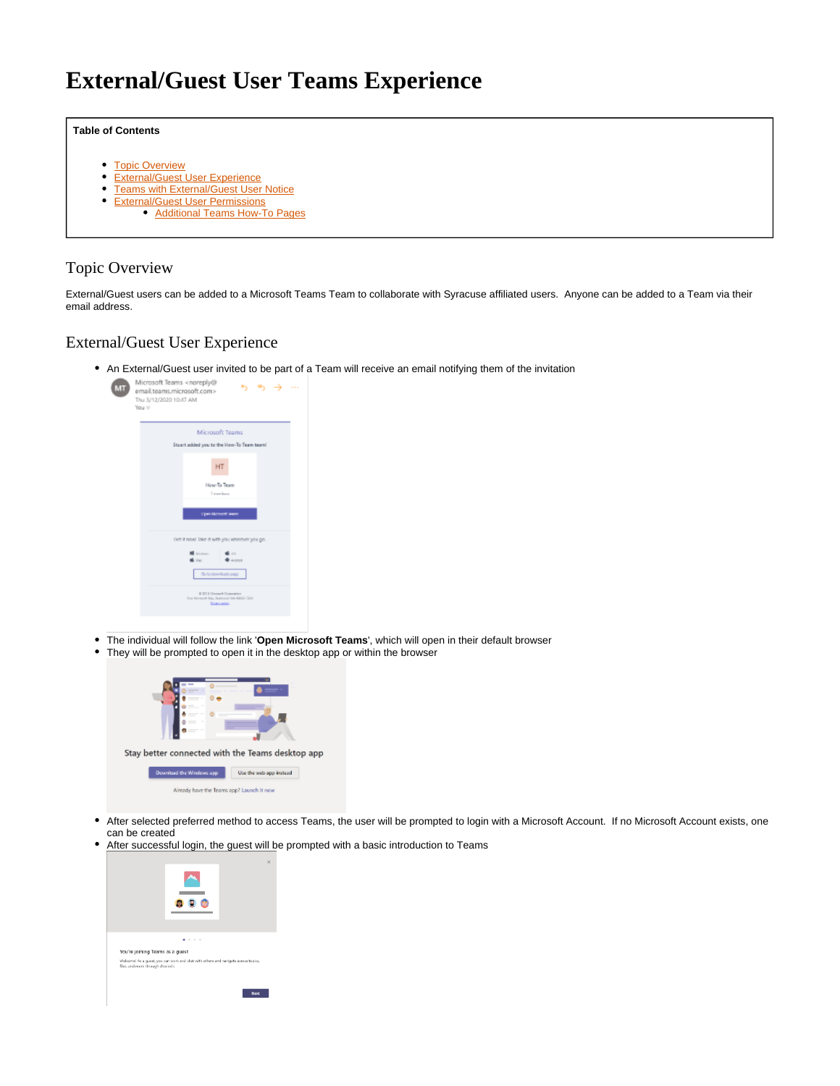# <span id="page-0-3"></span>**External/Guest User Teams Experience**

#### **Table of Contents**

- [Topic Overview](#page-0-0)
- [External/Guest User Experience](#page-0-1)
- **[Teams with External/Guest User Notice](#page-0-2)**
- [External/Guest User Permissions](#page-1-0)
	- [Additional Teams How-To Pages](#page-1-1)

### <span id="page-0-0"></span>Topic Overview

External/Guest users can be added to a Microsoft Teams Team to collaborate with Syracuse affiliated users. Anyone can be added to a Team via their email address.

#### <span id="page-0-1"></span>External/Guest User Experience

An External/Guest user invited to be part of a Team will receive an email notifying them of the invitation



- The individual will follow the link '**Open Microsoft Teams**', which will open in their default browser
- $\bullet$ They will be prompted to open it in the desktop app or within the browser



- $\bullet$ After selected preferred method to access Teams, the user will be prompted to login with a Microsoft Account. If no Microsoft Account exists, one can be created
- After successful login, the guest will be prompted with a basic introduction to Teams

<span id="page-0-2"></span>